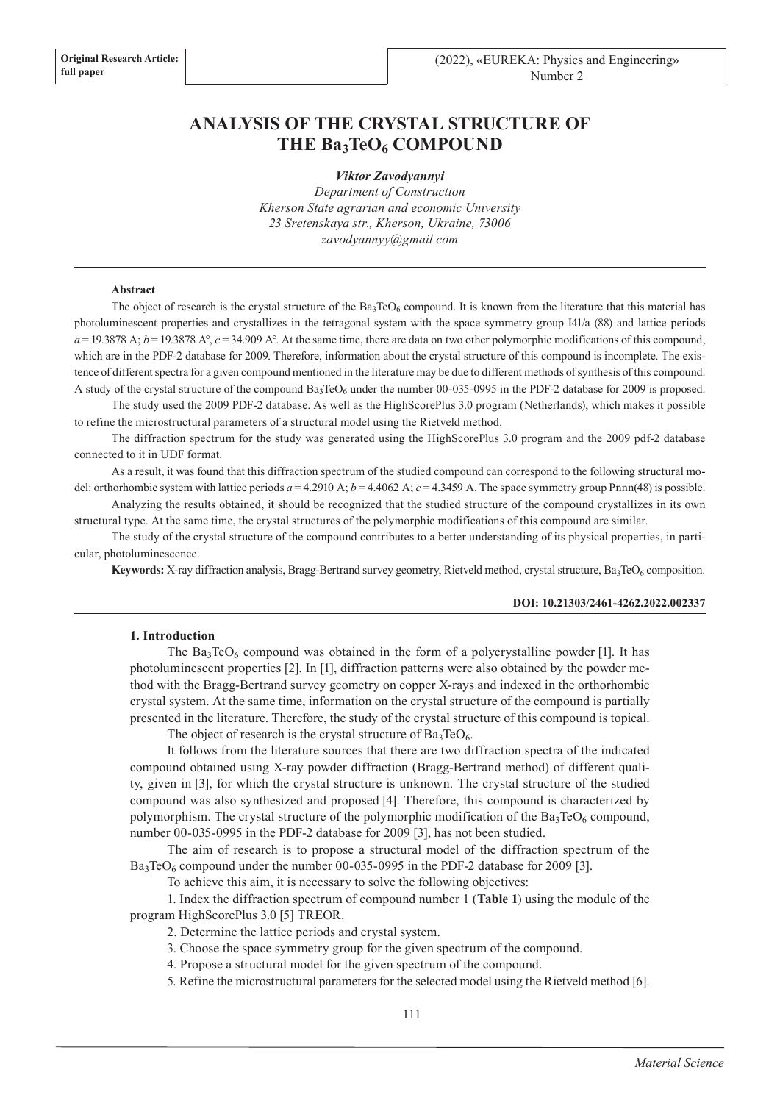# **ANALYSIS OF THE CRYSTAL STRUCTURE OF**  THE Ba<sub>3</sub>TeO<sub>6</sub> COMPOUND

*Viktor Zavodyannyi*

*Department of Construction Kherson State agrarian and economic University 23 Sretenskaya str., Kherson, Ukraine, 73006 zavodyannyy@gmail.com*

#### **Abstract**

The object of research is the crystal structure of the  $Ba_3TeO_6$  compound. It is known from the literature that this material has photoluminescent properties and crystallizes in the tetragonal system with the space symmetry group I41/a (88) and lattice periods  $a = 19.3878$  A;  $b = 19.3878$  A°,  $c = 34.909$  A°. At the same time, there are data on two other polymorphic modifications of this compound, which are in the PDF-2 database for 2009. Therefore, information about the crystal structure of this compound is incomplete. The existence of different spectra for a given compound mentioned in the literature may be due to different methods of synthesis of this compound. A study of the crystal structure of the compound  $Ba_3TeO_6$  under the number 00-035-0995 in the PDF-2 database for 2009 is proposed.

The study used the 2009 PDF-2 database. As well as the HighScorePlus 3.0 program (Netherlands), which makes it possible to refine the microstructural parameters of a structural model using the Rietveld method.

The diffraction spectrum for the study was generated using the HighScorePlus 3.0 program and the 2009 pdf-2 database connected to it in UDF format.

As a result, it was found that this diffraction spectrum of the studied compound can correspond to the following structural model: orthorhombic system with lattice periods  $a = 4.2910$  A;  $b = 4.4062$  A;  $c = 4.3459$  A. The space symmetry group Pnnn(48) is possible.

Analyzing the results obtained, it should be recognized that the studied structure of the compound crystallizes in its own structural type. At the same time, the crystal structures of the polymorphic modifications of this compound are similar.

The study of the crystal structure of the compound contributes to a better understanding of its physical properties, in particular, photoluminescence.

**Keywords:** X-ray diffraction analysis, Bragg-Bertrand survey geometry, Rietveld method, crystal structure, Ba<sub>3</sub>TeO<sub>6</sub> composition.

#### **DOI: 10.21303/2461-4262.2022.002337**

#### **1. Introduction**

The  $Ba_3TeO_6$  compound was obtained in the form of a polycrystalline powder [1]. It has photoluminescent properties [2]. In [1], diffraction patterns were also obtained by the powder method with the Bragg-Bertrand survey geometry on copper X-rays and indexed in the orthorhombic crystal system. At the same time, information on the crystal structure of the compound is partially presented in the literature. Therefore, the study of the crystal structure of this compound is topical.

The object of research is the crystal structure of  $Ba<sub>3</sub>TeO<sub>6</sub>$ .

It follows from the literature sources that there are two diffraction spectra of the indicated compound obtained using X-ray powder diffraction (Bragg-Bertrand method) of different quality, given in [3], for which the crystal structure is unknown. The crystal structure of the studied compound was also synthesized and proposed [4]. Therefore, this compound is characterized by polymorphism. The crystal structure of the polymorphic modification of the  $Ba_3TeO_6$  compound, number 00-035-0995 in the PDF-2 database for 2009 [3], has not been studied.

The aim of research is to propose a structural model of the diffraction spectrum of the  $Ba_3TeO_6$  compound under the number 00-035-0995 in the PDF-2 database for 2009 [3].

To achieve this aim, it is necessary to solve the following objectives:

1. Index the diffraction spectrum of compound number 1 (**Table 1**) using the module of the program HighScorePlus 3.0 [5] TREOR.

2. Determine the lattice periods and crystal system.

3. Choose the space symmetry group for the given spectrum of the compound.

4. Propose a structural model for the given spectrum of the compound.

5. Refine the microstructural parameters for the selected model using the Rietveld method [6].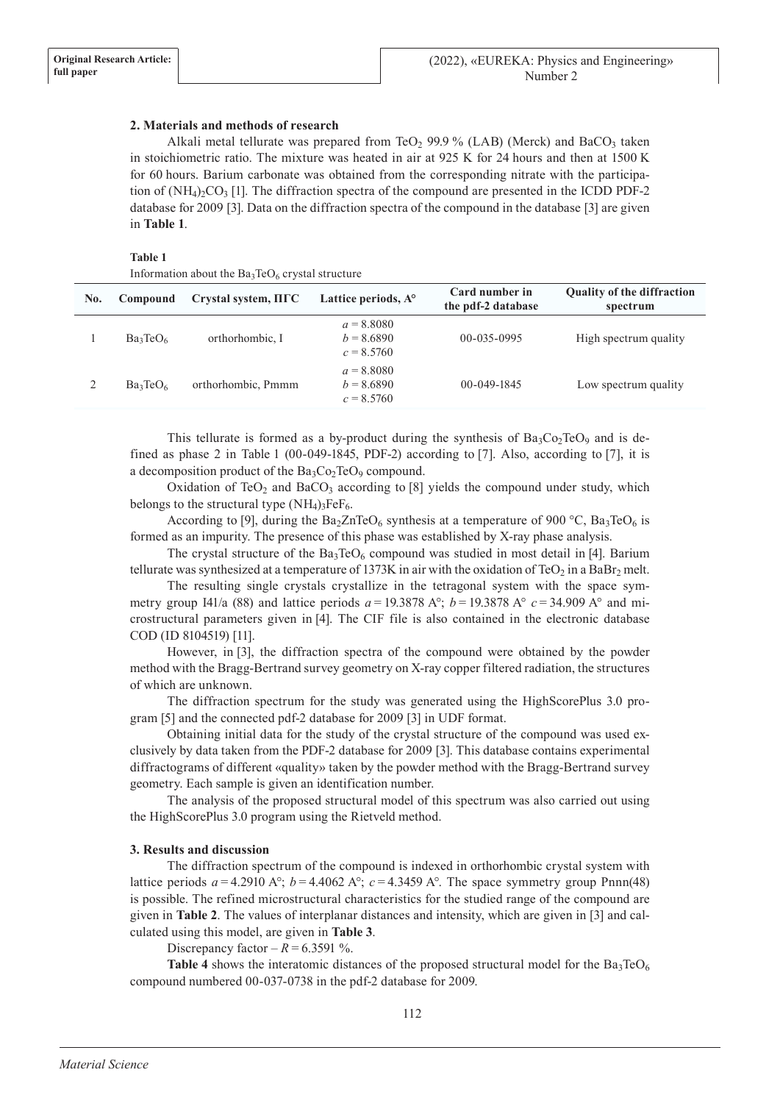## **2. Materials and methods of research**

Alkali metal tellurate was prepared from TeO<sub>2</sub> 99.9 % (LAB) (Merck) and BaCO<sub>3</sub> taken in stoichiometric ratio. The mixture was heated in air at 925 K for 24 hours and then at 1500 K for 60 hours. Barium carbonate was obtained from the corresponding nitrate with the participation of  $(NH_4)_2CO_3$  [1]. The diffraction spectra of the compound are presented in the ICDD PDF-2 database for 2009 [3]. Data on the diffraction spectra of the compound in the database [3] are given in **Table 1**.

### **Table 1**

| Information about the $Ba_3TeO_6$ crystal structure |             |                                   |                                              |                                      |                                               |
|-----------------------------------------------------|-------------|-----------------------------------|----------------------------------------------|--------------------------------------|-----------------------------------------------|
| No.                                                 | Compound    | $Crystal system, \Pi\Gamma\Gamma$ | Lattice periods, $A^{\circ}$                 | Card number in<br>the pdf-2 database | <b>Ouality of the diffraction</b><br>spectrum |
|                                                     | $Ba_3TeO_6$ | orthorhombic, I                   | $a = 8.8080$<br>$b = 8.6890$<br>$c = 8.5760$ | $00 - 035 - 0995$                    | High spectrum quality                         |
|                                                     | $Ba_3TeO_6$ | orthorhombic, Pmmm                | $a = 8.8080$<br>$b = 8.6890$<br>$c = 8.5760$ | $00 - 049 - 1845$                    | Low spectrum quality                          |
|                                                     |             |                                   |                                              |                                      |                                               |

This tellurate is formed as a by-product during the synthesis of  $Ba_3Co_2TeO_9$  and is defined as phase 2 in Table 1 (00-049-1845, PDF-2) according to [7]. Also, according to [7], it is a decomposition product of the  $Ba_3Co_2TeO_9$  compound.

Oxidation of TeO<sub>2</sub> and BaCO<sub>3</sub> according to  $[8]$  yields the compound under study, which belongs to the structural type  $(NH_4)_3FeF_6$ .

According to [9], during the Ba<sub>2</sub>ZnTeO<sub>6</sub> synthesis at a temperature of 900 °C, Ba<sub>3</sub>TeO<sub>6</sub> is formed as an impurity. The presence of this phase was established by X-ray phase analysis.

The crystal structure of the  $Ba_3TeO_6$  compound was studied in most detail in [4]. Barium tellurate was synthesized at a temperature of 1373K in air with the oxidation of TeO<sub>2</sub> in a BaBr<sub>2</sub> melt.

The resulting single crystals crystallize in the tetragonal system with the space symmetry group I41/a (88) and lattice periods  $a = 19.3878 \text{ A}^{\circ}$ ;  $b = 19.3878 \text{ A}^{\circ}$   $c = 34.909 \text{ A}^{\circ}$  and microstructural parameters given in [4]. The CIF file is also contained in the electronic database COD (ID 8104519) [11].

However, in [3], the diffraction spectra of the compound were obtained by the powder method with the Bragg-Bertrand survey geometry on X-ray copper filtered radiation, the structures of which are unknown.

The diffraction spectrum for the study was generated using the HighScorePlus 3.0 program [5] and the connected pdf-2 database for 2009 [3] in UDF format.

Obtaining initial data for the study of the crystal structure of the compound was used exclusively by data taken from the PDF-2 database for 2009 [3]. This database contains experimental diffractograms of different «quality» taken by the powder method with the Bragg-Bertrand survey geometry. Each sample is given an identification number.

The analysis of the proposed structural model of this spectrum was also carried out using the HighScorePlus 3.0 program using the Rietveld method.

## **3. Results and discussion**

The diffraction spectrum of the compound is indexed in orthorhombic crystal system with lattice periods  $a = 4.2910$  A°;  $b = 4.4062$  A°;  $c = 4.3459$  A°. The space symmetry group Pnnn(48) is possible. The refined microstructural characteristics for the studied range of the compound are given in **Table 2**. The values of interplanar distances and intensity, which are given in [3] and calculated using this model, are given in **Table 3**.

Discrepancy factor –  $R = 6.3591$  %.

**Table 4** shows the interatomic distances of the proposed structural model for the  $Ba_3TeO_6$ compound numbered 00-037-0738 in the pdf-2 database for 2009.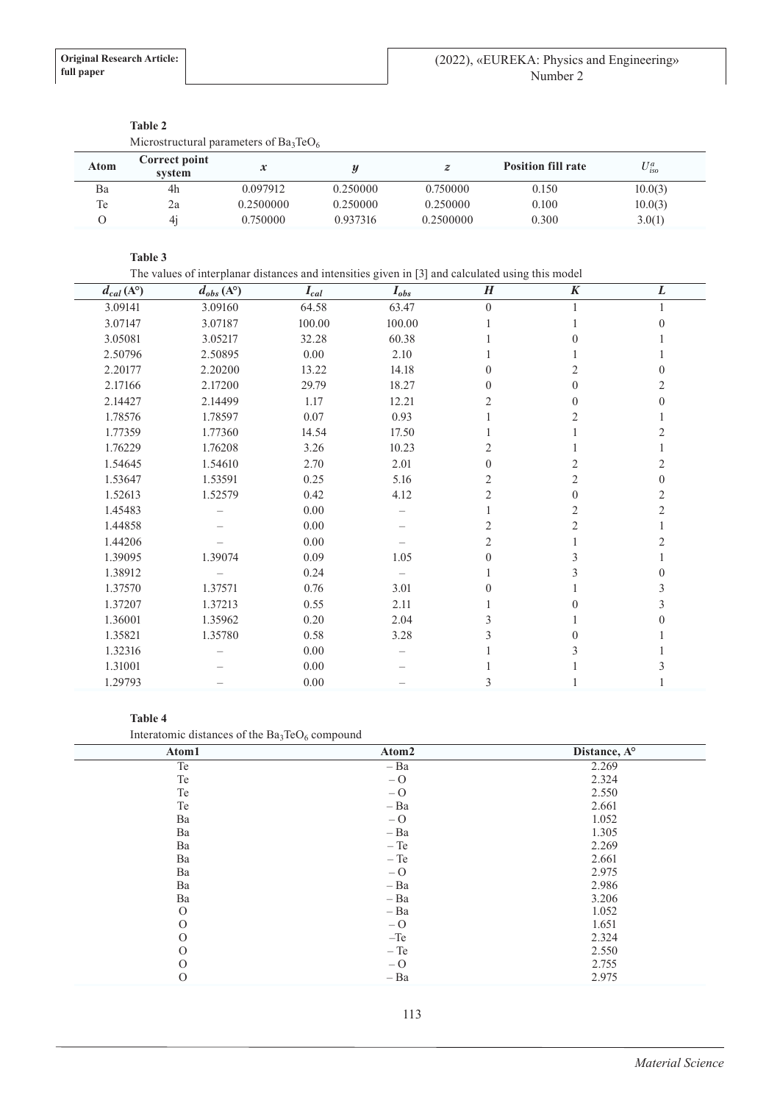|                  | Microstructural parameters of $Ba_3TeO_6$ |                            |          |                  |                           |                    |
|------------------|-------------------------------------------|----------------------------|----------|------------------|---------------------------|--------------------|
| <b>Atom</b>      | Correct point<br>system                   | $\boldsymbol{\mathcal{X}}$ |          | $\boldsymbol{z}$ | <b>Position fill rate</b> | $U_{\text{iso}}^a$ |
| Ba               | 4h                                        | 0.097912                   | 0.250000 | 0.750000         | 0.150                     | 10.0(3)            |
| Te               | 2a                                        | 0.2500000                  | 0.250000 | 0.250000         | 0.100                     | 10.0(3)            |
| $\left( \right)$ | 4 <sub>1</sub>                            | 0.750000                   | 0.937316 | 0.2500000        | 0.300                     | 3.0(1)             |

## **Table 2**

## **Table 3**

The values of interplanar distances and intensities given in [3] and calculated using this model

| $d_{cal}(A^{\circ})$ | $d_{obs}$ (A <sup>o</sup> ) | $I_{cal}$ | $I_{obs}$ | $\boldsymbol{H}$ | $\boldsymbol{K}$ | L        |
|----------------------|-----------------------------|-----------|-----------|------------------|------------------|----------|
| 3.09141              | 3.09160                     | 64.58     | 63.47     | $\theta$         |                  |          |
| 3.07147              | 3.07187                     | 100.00    | 100.00    |                  |                  | $\Omega$ |
| 3.05081              | 3.05217                     | 32.28     | 60.38     |                  |                  |          |
| 2.50796              | 2.50895                     | 0.00      | 2.10      |                  |                  |          |
| 2.20177              | 2.20200                     | 13.22     | 14.18     | $\mathbf{0}$     |                  | 0        |
| 2.17166              | 2.17200                     | 29.79     | 18.27     | 0                | 0                | 2        |
| 2.14427              | 2.14499                     | 1.17      | 12.21     |                  | 0                | 0        |
| 1.78576              | 1.78597                     | 0.07      | 0.93      |                  |                  |          |
| 1.77359              | 1.77360                     | 14.54     | 17.50     |                  |                  |          |
| 1.76229              | 1.76208                     | 3.26      | 10.23     |                  |                  |          |
| 1.54645              | 1.54610                     | 2.70      | 2.01      | 0                |                  | 2        |
| 1.53647              | 1.53591                     | 0.25      | 5.16      | 2                |                  | $\Omega$ |
| 1.52613              | 1.52579                     | 0.42      | 4.12      |                  | 0                | 2        |
| 1.45483              |                             | $0.00\,$  |           |                  |                  | 2        |
| 1.44858              |                             | $0.00\,$  |           |                  |                  |          |
| 1.44206              |                             | 0.00      |           |                  |                  |          |
| 1.39095              | 1.39074                     | 0.09      | 1.05      |                  |                  |          |
| 1.38912              |                             | 0.24      |           |                  |                  | 0        |
| 1.37570              | 1.37571                     | 0.76      | 3.01      |                  |                  | 3        |
| 1.37207              | 1.37213                     | 0.55      | 2.11      |                  | 0                |          |
| 1.36001              | 1.35962                     | 0.20      | 2.04      |                  |                  |          |
| 1.35821              | 1.35780                     | 0.58      | 3.28      |                  |                  |          |
| 1.32316              |                             | 0.00      |           |                  |                  |          |
| 1.31001              |                             | 0.00      |           |                  |                  |          |
| 1.29793              |                             | 0.00      |           | 3                |                  |          |

#### **Table 4**

Interatomic distances of the  $Ba_3TeO_6$  compound

| Atom1    | Atom2  | Distance, A° |
|----------|--------|--------------|
| Te       | $- Ba$ | 2.269        |
| Te       | $-0$   | 2.324        |
| Te       | $-0$   | 2.550        |
| Te       | $- Ba$ | 2.661        |
| Ba       | $-0$   | 1.052        |
| Ba       | $- Ba$ | 1.305        |
| Ba       | $-Te$  | 2.269        |
| Ba       | $-Te$  | 2.661        |
| Ba       | $-0$   | 2.975        |
| Ba       | $- Ba$ | 2.986        |
| Ba       | $- Ba$ | 3.206        |
| $\Omega$ | $- Ba$ | 1.052        |
| $\Omega$ | $-0$   | 1.651        |
| $\Omega$ | $-Te$  | 2.324        |
| $\Omega$ | $-Te$  | 2.550        |
| $\Omega$ | $-0$   | 2.755        |
| $\Omega$ | $- Ba$ | 2.975        |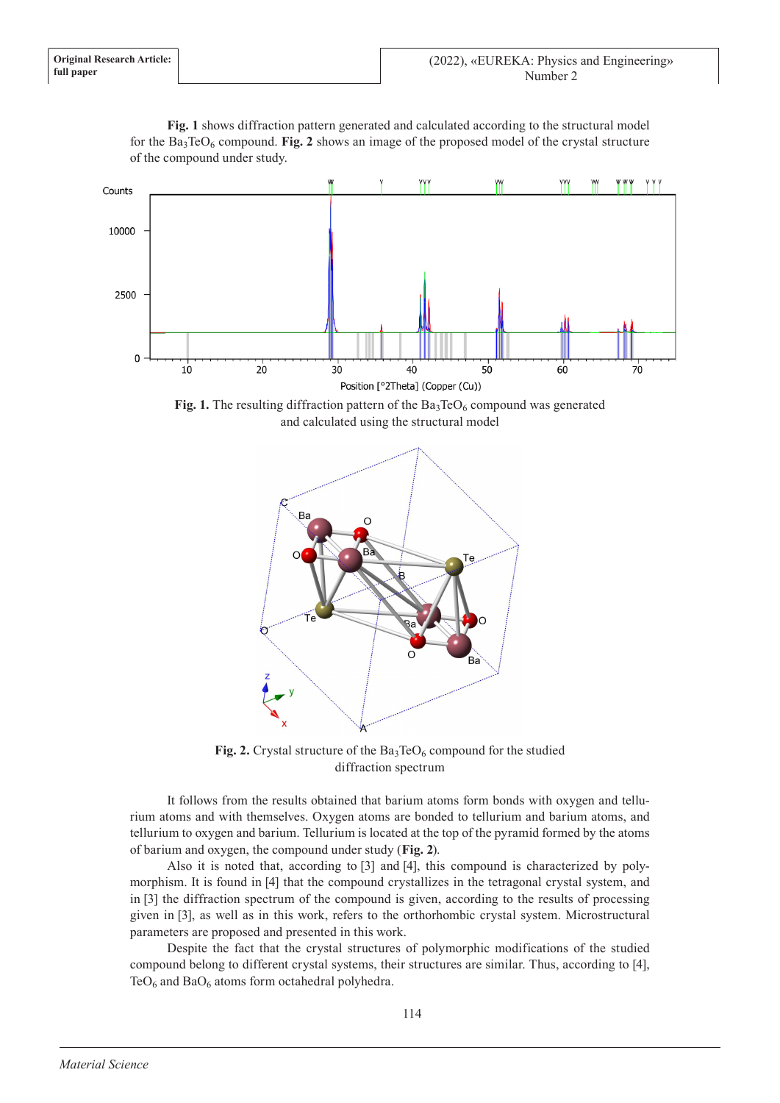

**Fig. 1** shows diffraction pattern generated and calculated according to the structural model for the  $Ba_3TeO_6$  compound. Fig. 2 shows an image of the proposed model of the crystal structure of the compound under study.

**Fig. 1.** The resulting diffraction pattern of the  $Ba_3TeO_6$  compound was generated and calculated using the structural model



Fig. 2. Crystal structure of the Ba<sub>3</sub>TeO<sub>6</sub> compound for the studied diffraction spectrum

It follows from the results obtained that barium atoms form bonds with oxygen and tellurium atoms and with themselves. Oxygen atoms are bonded to tellurium and barium atoms, and tellurium to oxygen and barium. Tellurium is located at the top of the pyramid formed by the atoms of barium and oxygen, the compound under study (**Fig. 2**).

Also it is noted that, according to [3] and [4], this compound is characterized by polymorphism. It is found in [4] that the compound crystallizes in the tetragonal crystal system, and in [3] the diffraction spectrum of the compound is given, according to the results of processing given in [3], as well as in this work, refers to the orthorhombic crystal system. Microstructural parameters are proposed and presented in this work.

Despite the fact that the crystal structures of polymorphic modifications of the studied compound belong to different crystal systems, their structures are similar. Thus, according to [4],  $TeO<sub>6</sub>$  and  $BaO<sub>6</sub>$  atoms form octahedral polyhedra.